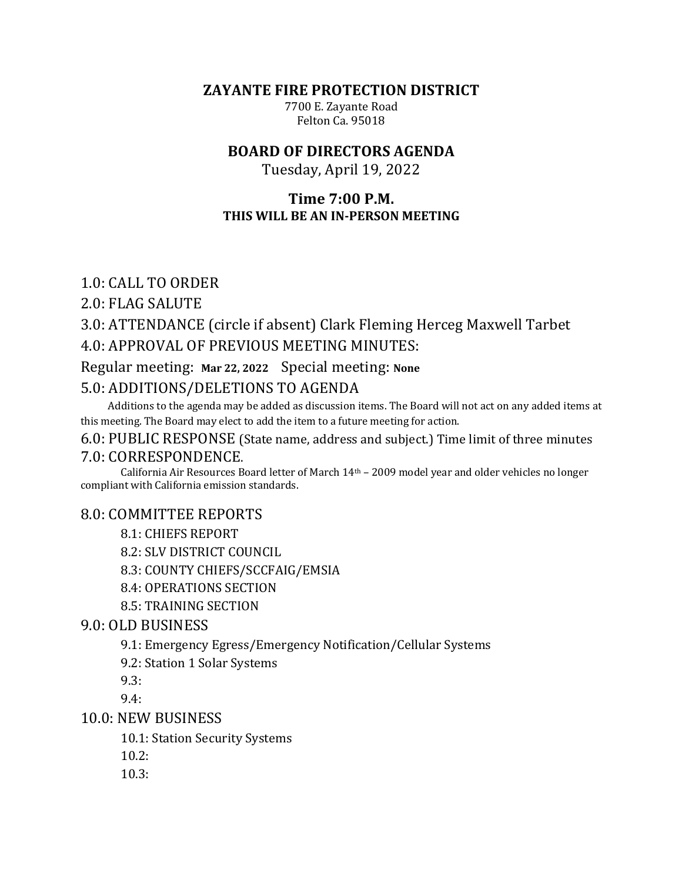**ZAYANTE FIRE PROTECTION DISTRICT** 

7700 E. Zayante Road Felton Ca. 95018

# **BOARD OF DIRECTORS AGENDA**

Tuesday, April 19, 2022

#### **Time 7:00 P.M. THIS WILL BE AN IN-PERSON MEETING**

## 1.0: CALL TO ORDER

2.0: FLAG SALUTE

# 3.0: ATTENDANCE (circle if absent) Clark Fleming Herceg Maxwell Tarbet

# 4.0: APPROVAL OF PREVIOUS MEETING MINUTES:

#### Regular meeting: Mar 22, 2022 Special meeting: None

# 5.0: ADDITIONS/DELETIONS TO AGENDA

Additions to the agenda may be added as discussion items. The Board will not act on any added items at this meeting. The Board may elect to add the item to a future meeting for action.

# 6.0: PUBLIC RESPONSE (State name, address and subject.) Time limit of three minutes

#### 7.0: CORRESPONDENCE.

California Air Resources Board letter of March 14<sup>th</sup> – 2009 model year and older vehicles no longer compliant with California emission standards.

#### 8.0: COMMITTEE REPORTS

- 8.1: CHIEFS REPORT
- 8.2: SLV DISTRICT COUNCIL

8.3: COUNTY CHIEFS/SCCFAIG/EMSIA

8.4: OPERATIONS SECTION

8.5: TRAINING SECTION

#### 9.0: OLD BUSINESS

9.1: Emergency Egress/Emergency Notification/Cellular Systems

9.2: Station 1 Solar Systems

9.3:

9.4:

10.0: NEW BUSINESS

10.1: Station Security Systems

 $10.2:$ 

10.3: